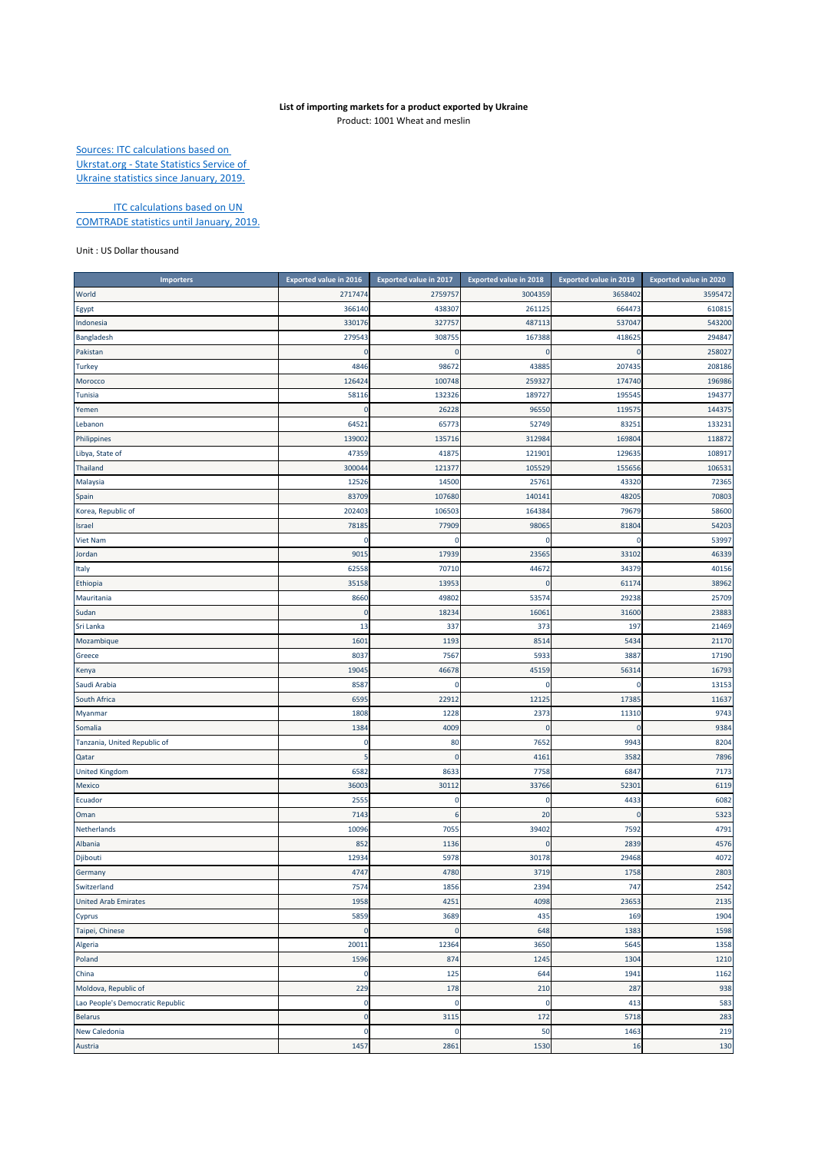## **List of importing markets for a product exported by Ukraine** Product: 1001 Wheat and meslin

Sources: ITC calculations based on Ukrstat.org ‐ State Statistics Service of Ukraine statistics since January, 2019.

**ITC calculations based on UN** COMTRADE statistics until January, 2019.

## Unit : US Dollar thousand

| <b>Importers</b>                 | <b>Exported value in 2016</b> | Exported value in 2017 | <b>Exported value in 2018</b> | <b>Exported value in 2019</b> | Exported value in 2020 |
|----------------------------------|-------------------------------|------------------------|-------------------------------|-------------------------------|------------------------|
| World                            | 2717474                       | 2759757                | 3004359                       | 3658402                       | 3595472                |
| Egypt                            | 366140                        | 438307                 | 261125                        | 664473                        | 610815                 |
| Indonesia                        | 330176                        | 327757                 | 487113                        | 537047                        | 543200                 |
| Bangladesh                       | 279543                        | 308755                 | 167388                        | 41862                         | 294847                 |
| Pakistan                         | 0                             | $\mathbf 0$            | 0                             |                               | 258027                 |
| <b>Turkey</b>                    | 4846                          | 98672                  | 43885                         | 207435                        | 208186                 |
| Morocco                          | 126424                        | 100748                 | 259327                        | 174740                        | 196986                 |
| Tunisia                          | 5811                          | 132326                 | 189727                        | 19554                         | 194377                 |
| Yemen                            | C                             | 26228                  | 96550                         | 11957                         | 144375                 |
| Lebanon                          | 6452                          | 65773                  | 52749                         | 8325                          | 133231                 |
| Philippines                      | 139002                        | 135716                 | 312984                        | 16980                         | 118872                 |
| Libya, State of                  | 47359                         | 41875                  | 121901                        | 12963                         | 108917                 |
| Thailand                         | 300044                        | 12137                  | 105529                        | 15565                         | 106531                 |
| Malaysia                         | 12526                         | 14500                  | 25761                         | 43320                         | 72365                  |
| Spain                            | 83709                         | 107680                 | 140141                        | 4820                          | 70803                  |
| Korea, Republic of               | 202403                        | 106503                 | 164384                        | 79679                         | 58600                  |
| Israel                           | 78185                         | 77909                  | 98065                         | 81804                         | 54203                  |
| <b>Viet Nam</b>                  | $\mathbf 0$                   | 0                      | 0                             |                               | 53997                  |
| Jordan                           | 901                           | 17939                  | 23565                         | 3310                          | 46339                  |
| Italy                            | 62558                         | 70710                  | 44672                         | 34379                         | 40156                  |
| Ethiopia                         | 35158                         | 13953                  | $\mathbf 0$                   | 61174                         | 38962                  |
| Mauritania                       | 8660                          | 49802                  | 53574                         | 29238                         | 25709                  |
| Sudan                            | 0                             | 18234                  | 16061                         | 31600                         | 23883                  |
| Sri Lanka                        | 13                            | 337                    | 373                           | 197                           | 21469                  |
| Mozambique                       | 1601                          | 1193                   | 8514                          | 5434                          | 21170                  |
| Greece                           | 803                           | 7567                   | 5933                          | 3887                          | 17190                  |
| Kenya                            | 1904                          | 46678                  | 45159                         | 5631                          | 16793                  |
| Saudi Arabia                     | 858                           | 0                      | 0                             |                               | 13153                  |
| South Africa                     | 6595                          | 22912                  | 12125                         | 1738                          | 11637                  |
| Myanmar                          | 1808                          | 1228                   | 2373                          | 11310                         | 9743                   |
| Somalia                          | 1384                          | 4009                   | $\mathbf 0$                   |                               | 9384                   |
| Tanzania, United Republic of     | c                             | 80                     | 7652                          | 994                           | 8204                   |
| Qatar                            | 5                             | $\mathbf 0$            | 4161                          | 3582                          | 7896                   |
| <b>United Kingdom</b>            | 6582                          | 8633                   | 7758                          | 6847                          | 7173                   |
| Mexico                           | 3600                          | 30112                  | 33766                         | 5230                          | 6119                   |
| Ecuador                          | 255                           | 0                      | 0                             | 443                           | 6082                   |
| Oman                             | 7143                          | 6                      | 20                            | c                             | 5323                   |
| Netherlands                      | 10096                         | 7055                   | 39402                         | 7592                          | 4791                   |
| Albania                          | 852                           | 1136                   | $\mathbf 0$                   | 2839                          | 4576                   |
| Djibouti                         | 12934                         | 5978                   | 30178                         | 29468                         | 4072                   |
| Germany                          | 4747                          | 4780                   | 3719                          | 1758                          | 2803                   |
| Switzerland                      | 7574                          | 1856                   | 2394                          | 747                           | 2542                   |
| <b>United Arab Emirates</b>      | 1958                          | 4251                   | 4098                          | 23653                         | 2135                   |
| Cyprus                           | 5859                          | 3689                   | 435                           | 169                           | 1904                   |
| Taipei, Chinese                  | 0                             | $\pmb{0}$              | 648                           | 1383                          | 1598                   |
| Algeria                          | 20011                         | 12364                  | 3650                          | 5645                          | 1358                   |
| Poland                           | 1596                          | 874                    | 1245                          | 1304                          | 1210                   |
| China                            | 0                             | 125                    | 644                           | 1941                          | 1162                   |
| Moldova, Republic of             | 229                           | 178                    | 210                           | 287                           | 938                    |
| Lao People's Democratic Republic | 0                             | $\mathbf 0$            | $\pmb{0}$                     | 413                           | 583                    |
| <b>Belarus</b>                   | $\mathbf 0$                   | 3115                   | 172                           | 5718                          | 283                    |
| New Caledonia                    | 0                             | 0                      | 50                            | 1463                          | 219                    |
| Austria                          | 1457                          | 2861                   | 1530                          | 16                            | 130                    |